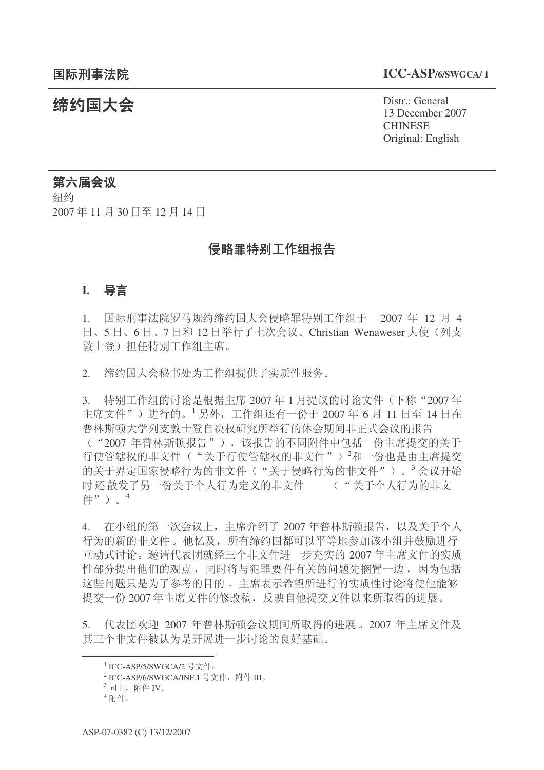## 䰙ߥџ⊩䰶 **ICC-ASP/6/SWGCA/ <sup>1</sup>**

结约国大会 Pistr.: General 13 December 2007 **CHINESE** Original: English

# 第六届会议

细约 2007年11月30日至12月14日

## 侵略罪特别工作组报告

## **I.** 导言

1. 国际刑事法院罗马规约缔约国大会侵略罪特别工作组干 2007 年 12 月 4 日、5日、6日、7日和12日举行了七次会议。Christian Wenaweser 大使(列支 敦士登) 担任特别工作组主席。

2. 缔约国大会秘书处为工作组提供了实质性服务。

3. 特别工作组的讨论是根据主席 2007 年 1 月提议的讨论文件 (下称"2007 年 主席文件")进行的。<sup>1</sup>另外,工作组还有一份于 2007 年 6 月 11 日至 14 日在 普林斯顿大学列支敦士登自决权研究所举行的休会期间非正式会议的报告 ("2007 年普林斯顿报告"), 该报告的不同附件中包括一份主席提交的关于 行使管辖权的非文件'》<sup>2</sup>和一份也是由主席提交 的关于界定国家侵略行为的非文件("关于侵略行为的非文件")。<sup>3</sup>会议开始 时还散发了另一份关于个人行为定义的非文件 ("关于个人行为的非文 件")。<sup>4</sup>

4. 在小组的第一次会议上, 主席介绍了 2007 年普林斯顿报告, 以及关于个人 行为的新的非文件。他忆及,所有缔约国都可以平等地参加该小组并鼓励进行 互动式讨论。邀请代表团就经三个非文件进一步充实的 2007 年主席文件的实质 性部分提出他们的观点,同时将与犯罪要件有关的问题先搁置一边,因为包括 这些问题只是为了参考的目的。主席表示希望所进行的实质性讨论将使他能够 提交一份 2007 年主席文件的修改稿, 反映自他提交文件以来所取得的讲展。

5. 代表团欢迎 2007 年普林斯顿会议期间所取得的进展。2007 年主席文件及 其三个非文件被认为是开展讲一步讨论的良好基础。

 $^1$  ICC-ASP/5/SWGCA/2 号文件。

 $^2$  ICC-ASP/6/SWGCA/INF.1 号文件,附件 III。

 $^3$ 同上,附件 IV。

 $4$  附件。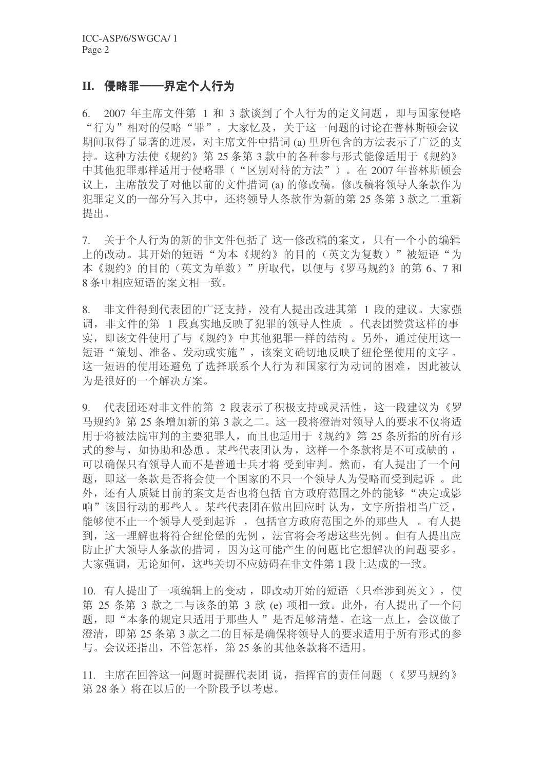## II. 侵略罪——界定个人行为

6. 2007 年主席文件第 1 和 3 款谈到了个人行为的定义问题, 即与国家侵略 "行为"相对的侵略"罪"。大家忆及,关于这一问题的讨论在普林斯顿会议 期间取得了显著的进展, 对主席文件中措词(a) 里所包含的方法表示了广泛的支 持。这种方法使《规约》第25条第3款中的各种参与形式能像适用于《规约》 中其他犯罪那样适用于侵略罪("区别对待的方法")。在 2007 年普林斯顿会 议上, 主席散发了对他以前的文件措词(a) 的修改稿。修改稿将领导人条款作为 犯罪定义的一部分写入其中,还将领导人条款作为新的第25 条第3款之二重新 提出。

7. 关于个人行为的新的非文件包括了这一修改稿的案文,只有一个小的编辑 上的改动。其开始的短语"为本《规约》的目的(英文为复数)"被短语"为 本《规约》的目的(英文为单数)"所取代,以便与《罗马规约》的第6、7和 8 条中相应短语的案文相一致。

8. 非文件得到代表团的广泛支持, 没有人提出改进其第 1 段的建议。大家强 调, 非文件的第 1 段真实地反映了犯罪的领导人性质 。代表团赞赏这样的事 实, 即该文件使用了与《规约》中其他犯罪一样的结构。另外, 通过使用这一 短语"策划、准备、发动或实施",该案文确切地反映了纽伦堡使用的文字。 这一短语的使用还避免了洗择联系个人行为和国家行为动词的困难,因此被认 为是很好的一个解决方案。

9. 代表团还对非文件的第2 段表示了积极支持或灵活性, 这一段建议为《罗 马规约》第25条增加新的第3款之二。这一段将澄清对领导人的要求不仅将适 田干将被法院审判的主要犯罪人,而且也适用于《规约》第25条所指的所有形 式的参与, 如协助和怂恿。某些代表团认为, 这样一个条款将是不可或缺的, 可以确保只有领导人而不是普通士兵才将 受到审判。然而, 有人提出了一个问 题, 即这一条款是否将会使一个国家的不只一个领导人为侵略而受到起诉。此 外, 还有人质疑目前的案文是否也将包括官方政府范围之外的能够"决定或影 响"该国行动的那些人。某些代表团在做出回应时认为,文字所指相当广泛, 能够使不止一个领导人受到起诉, 包括官方政府范围之外的那些人。有人提 到, 这一理解也将符合纽伦堡的先例, 法官将会考虑这些先例。但有人提出应 防止扩大领导人条款的措词,因为这可能产生的问题比它想解决的问题要多。 大家强调, 无论如何, 这些关切不应妨碍在非文件第1段上达成的一致。

10. 有人提出了一项编辑上的变动, 即改动开始的短语(只牵涉到英文), 使 第 25 条第 3 款之二与该条的第 3 款 (e) 项相一致。此外, 有人提出了一个问 题, 即"本条的规定只适用于那些人"是否足够清楚。在这一点上, 会议做了 澄清, 即第 25 条第 3 款之二的目标是确保将领导人的要求适用于所有形式的参 与。会议还指出,不管怎样,第25条的其他条款将不适用。

11. 主席在回答这一问题时提醒代表团 说, 指挥官的责任问题 (《罗马规约》 第28条)将在以后的一个阶段予以考虑。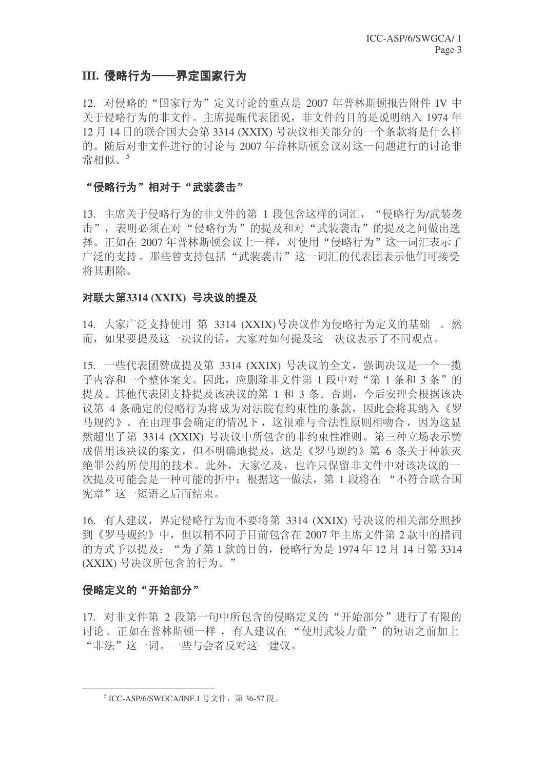## III. 侵略行为——界定国家行为

12. 对侵略的"国家行为"定义讨论的重点是 2007 年普林斯顿报告附件 IV 中 关于侵略行为的非文件。主席提醒代表团说, 非文件的目的是说明纳入 1974 年 12 月 14 日的联合国大会第 3314 (XXIX) 号决议相关部分的一个条款将是什么样 的。随后对非文件进行的讨论与 2007 年普林斯顿会议对这一问题进行的讨论非 常相似。5

#### "侵略行为"相对于"武装袭击"

13. 主席关于侵略行为的非文件的第 1 段包含这样的词汇, "侵略行为/武装袭 击", 表明必须在对"侵略行为"的提及和对"武装袭击"的提及之间做出选 择。正如在 2007 年普林斯顿会议上一样, 对使用"侵略行为"这一词汇表示了 广泛的支持。那些曾支持包括"武装袭击"这一词汇的代表团表示他们可接受 将其删除。

#### 对联大第3314 (XXIX) 号决议的提及

14. 大家广泛支持使用 第 3314 (XXIX)号决议作为侵略行为定义的基础 。然 而,如果要提及这一决议的话,大家对如何提及这一决议表示了不同观点。

15. 一些代表团赞成提及第 3314 (XXIX) 号决议的全文, 强调决议是一个一揽 子内容和一个整体案文。因此,应删除非文件第 1 段中对"第 1 条和 3 条"的 提及。其他代表团支持提及该决议的第 1 和 3 条。否则, 今后安理会根据该决 议第 4 条确定的侵略行为将成为对法院有约束性的条款, 因此会将其纳入《罗 马规约》。在由理事会确定的情况下,这很难与合法性原则相吻合,因为这显 然超出了第 3314 (XXIX) 号决议中所包含的非约束性准则。第三种立场表示赞 成借用该决议的案文, 但不明确地提及, 这是《罗马规约》第6条关于种族灭 绝罪公约所使用的技术。此外,大家忆及,也许只保留非文件中对该决议的一 次提及可能会是一种可能的折中:根据这一做法,第 1 段将在 "不符合联合国 宪章"这一短语之后而结束。

16. 有人建议, 界定侵略行为而不要将第 3314 (XXIX) 号决议的相关部分照抄 到《罗马规约》中,但以稍不同于目前包含在 2007 年主席文件第 2 款中的措词 的方式予以提及: "为了第1款的目的, 侵略行为是 1974年 12 月 14 日第 3314 (XXIX) 号决议所包含的行为。"

#### 侵略定义的"开始部分"

17. 对非文件第 2 段第一句中所包含的侵略定义的"开始部分"进行了有限的 讨论。正如在普林斯顿一样, 有人建议在"使用武装力量"的短语之前加上 "非法"这一词。一些与会者反对这一建议。

<sup>&</sup>lt;sup>5</sup> ICC-ASP/6/SWGCA/INF.1 号文件, 第36-57 段。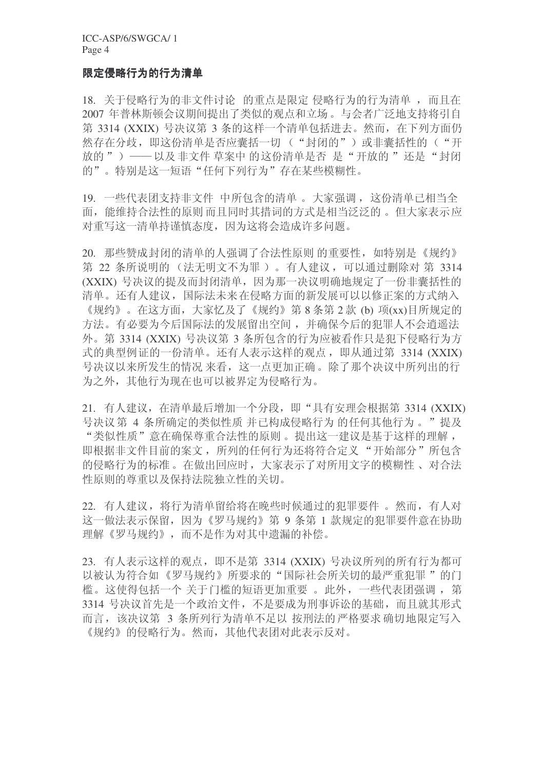## 限定侵略行为衍为清单

18. 关于侵略行为的非文件讨论 的重点是限定 侵略行为的行为清单, 而且在 2007 年普林斯顿会议期间提出了类似的观点和立场。与会者广泛地支持将引自 第 3314 (XXIX) 号决议第 3 条的这样一个清单包括进去。然而, 在下列方面仍 然存在分歧, 即这份清单是否应囊括一切("封闭的")或非囊括性的("开 放的") ——以及非文件 草案中 的这份清单是否 是"开放的"还是"封闭 的"。特别是这一短语"任何下列行为"存在某些模糊性。

19. 一些代表团支持非文件 中所包含的清单。大家强调, 这份清单已相当全 面, 能维持合法性的原则而且同时其措词的方式是相当泛泛的。但大家表示应 对重写这一清单持谨慎态度, 因为这将会造成许多问题。

20. 那些赞成封闭的清单的人强调了合法性原则 的重要性, 如特别是《规约》 第 22 条所说明的 (法无明文不为罪)。有人建议,可以通过删除对 第 3314 (XXIX) 号决议的提及而封闭清单, 因为那一决议明确地规定了一份非囊括性的 清单。还有人建议, 国际法未来在侵略方面的新发展可以以修正案的方式纳入 《规约》。在这方面,大家忆及了《规约》第8条第2款(b)项(xx)目所规定的 方法。有必要为今后国际法的发展留出空间, 并确保今后的犯罪人不会逍遥法 外。第 3314 (XXIX) 号决议第 3 条所包含的行为应被看作只是犯下侵略行为方 式的典型例证的一份清单。还有人表示这样的观点, 即从通过第 3314 (XXIX) 号决议以来所发生的情况来看,这一点更加正确。除了那个决议中所列出的行 为之外, 其他行为现在也可以被界定为侵略行为。

21. 有人建议, 在清单最后增加一个分段, 即"具有安理会根据第 3314 (XXIX) 号决议第 4 条所确定的类似性质 并已构成侵略行为 的任何其他行为 。"提及 "类似性质"意在确保尊重合法性的原则。提出这一建议是基于这样的理解, 即根据非文件目前的案文,所列的任何行为还将符合定义"开始部分"所包含 的侵略行为的标准。在做出回应时,大家表示了对所用文字的模糊性、对合法 性原则的尊重以及保持法院独立性的关切。

22. 有人建议, 将行为清单留给将在晚些时候通过的犯罪要件。然而, 有人对 这一做法表示保留,因为《罗马规约》第9条第1款规定的犯罪要件意在协助 理解《罗马规约》,而不是作为对其中遗漏的补偿。

23. 有人表示这样的观点, 即不是第 3314 (XXIX) 号决议所列的所有行为都可 以被认为符合如《罗马规约》所要求的"国际社会所关切的最严重犯罪"的门 槛。这使得包括一个 关于门槛的短语更加重要 。此外, 一些代表团强调, 第 3314 号决议首先是一个政治文件, 不是要成为刑事诉讼的基础, 而且就其形式 而言, 该决议第 3 条所列行为清单不足以 按刑法的 严格要求 确切地限定写入 《规约》的侵略行为。然而, 其他代表团对此表示反对。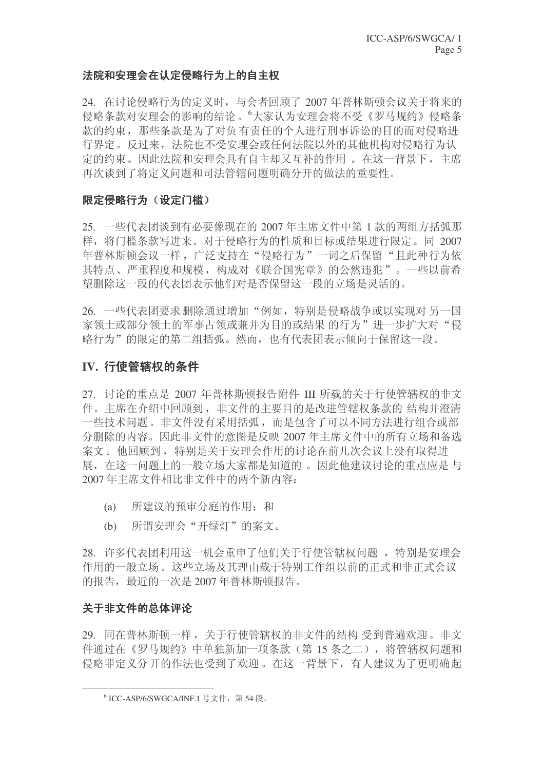## 法院和安理会在认定侵略行为上的自主权

24. 在讨论侵略行为的定义时, 与会者回顾了 2007 年普林斯顿会议关于将来的 侵略条款对安理会的影响的结论。"大家认为安理会将不受《罗马规约》侵略条 款的约束, 那些条款是为了对负有责任的个人进行刑事诉讼的目的而对侵略进 行界定。反过来, 法院也不受安理会或任何法院以外的其他机构对侵略行为认 定的约束。因此法院和安理会具有自主却又互补的作用。在这一背景下, 主席 再次谈到了将定义问题和司法管辖问题明确分开的做法的重要性。

## 限定侵略行为(设定门槛)

25. 一些代表团谈到有必要像现在的 2007 年主席文件中第 1 款的两组方括弧那 样, 将门槛条款写进来。对于侵略行为的性质和目标或结果进行限定。同 2007 年普林斯顿会议一样, 广泛支持在"侵略行为"一词之后保留"且此种行为依 其特点、严重程度和规模,构成对《联合国宪章》的公然违犯"。一些以前希 望删除这一段的代表团表示他们对是否保留这一段的立场是灵活的。

26. 一些代表团要求删除通过增加"例如,特别是侵略战争或以实现对另一国 家领土或部分领土的军事占领或兼并为目的或结果的行为"进一步扩大对"侵 略行为"的限定的第二组括弧。然而,也有代表团表示倾向于保留这一段。

## IV. 行使管辖权的条件

27. 讨论的重点是 2007 年普林斯顿报告附件 III 所载的关于行使管辖权的非文 件。主席在介绍中回顾到, 非文件的主要目的是改进管辖权条款的 结构并澄清 一些技术问题。非文件没有采用括弧,而是包含了可以不同方法进行组合或部 分删除的内容。因此非文件的意图是反映 2007 年主席文件中的所有立场和备选 案文。他回顾到,特别是关于安理会作用的讨论在前几次会议上没有取得进 展, 在这一问题上的一般立场大家都是知道的。因此他建议讨论的重点应是与 2007年主席文件相比非文件中的两个新内容:

- (a) 所建议的预审分庭的作用: 和
- (b) 所谓安理会"开绿灯"的案文。

28. 许多代表团利用这一机会重申了他们关于行使管辖权问题, 特别是安理会 作用的一般立场。这些立场及其理由载于特别工作组以前的正式和非正式会议 的报告, 最近的一次是 2007 年普林斯顿报告。

## 关于非文件的总体评论

29. 同在普林斯顿一样,关于行使管辖权的非文件的结构受到普遍欢迎。非文 件通讨在《罗马规约》中单独新加一项条款(第15条之二), 将管辖权问题和 侵略罪定义分开的作法也受到了欢迎。在这一背景下,有人建议为了更明确起

 $^6$  ICC-ASP/6/SWGCA/INF.1 号文件,第54段。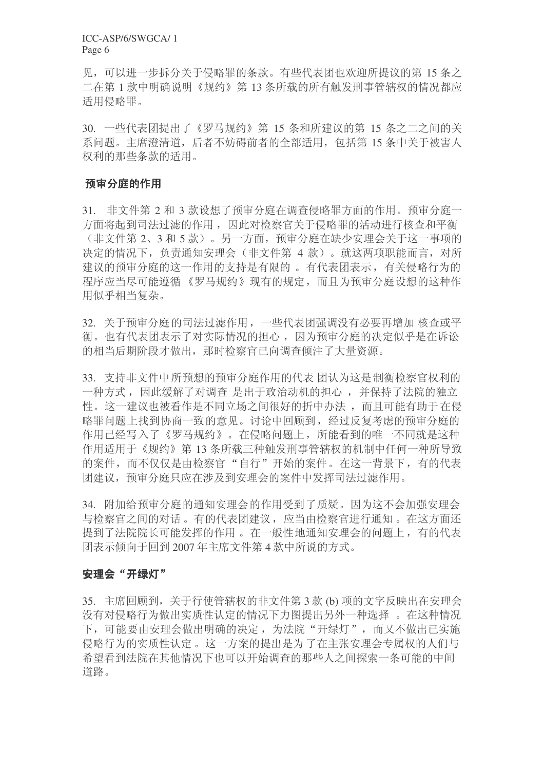ICC-ASP/6/SWGCA/ 1 Page 6

见, 可以进一步拆分关于侵略罪的条款。有些代表团也欢迎所提议的第15条之 二在第1款中明确说明《规约》第13条所载的所有触发刑事管辖权的情况都应 适用侵略罪。

30. 一些代表团提出了《罗马规约》第 15 条和所建议的第 15 条之二之间的关 系问题。主席澄清道,后者不妨碍前者的全部适用,包括第15条中关于被害人 权利的那些条款的话用。

## 预审分庭的作用

31. 非文件第 2 和 3 款设想了预审分庭在调查侵略罪方面的作用。预审分庭一 方面将起到司法过滤的作用, 因此对检察官关于侵略罪的活动进行核查和平衡 (非文件第2、3和5款)。另一方面,预审分庭在缺少安理会关于这一事项的 决定的情况下,负责通知安理会(非文件第 4 款)。就这两项职能而言, 对所 建议的预审分庭的这一作用的支持是有限的。有代表团表示, 有关侵略行为的 程序应当尽可能遵循《罗马规约》现有的规定,而且为预审分庭设想的这种作 用似乎相当复杂。

32. 关于预审分庭的司法过滤作用, 一些代表团强调没有必要再增加 核杳或平 衡。也有代表团表示了对实际情况的担心,因为预审分庭的决定似乎是在诉讼 的相当后期阶段才做出, 那时检察官已向调查倾注了大量资源。

33. 支持非文件中所预想的预审分庭作用的代表 团认为这是制衡检察官权利的 一种方式,因此缓解了对调查是出于政治动机的担心,并保持了法院的独立 性。这一建议也被看作是不同立场之间很好的折中办法,而且可能有助于在侵 略罪问题上找到协商一致的意见。讨论中回顾到, 经过反复考虑的预审分庭的 作用已经写入了《罗马规约》。在侵略问题上,所能看到的唯一不同就是这种 作用活用于《规约》第13 条所载三种触发刑事管辖权的机制中任何一种所导致 的案件,而不仅仅是由检察官"自行"开始的案件。在这一背景下,有的代表 闭建议, 预审分庭只应在涉及到安理会的案件中发挥司法过滤作用。

34. 附加给预审分庭的通知安理会的作用受到了质疑。因为这不会加强安理会 与检察官之间的对话。有的代表团建议,应当由检察官进行通知。在这方面还 提到了法院院长可能发挥的作用。在一般性地通知安理会的问题上,有的代表 团表示倾向于回到 2007 年主席文件第 4 款中所说的方式。

#### 安理会"开绿灯"

35. 主席回顾到, 关于行使管辖权的非文件第3款(b) 项的文字反映出在安理会 没有对侵略行为做出实质性认定的情况下力图提出另外一种选择 。在这种情况 下,可能要由安理会做出明确的决定,为法院"开绿灯",而又不做出已实施 侵略行为的实质性认定。这一方案的提出是为了在主张安理会专属权的人们与 希望看到法院在其他情况下也可以开始调查的那些人之间探索一条可能的中间 道路。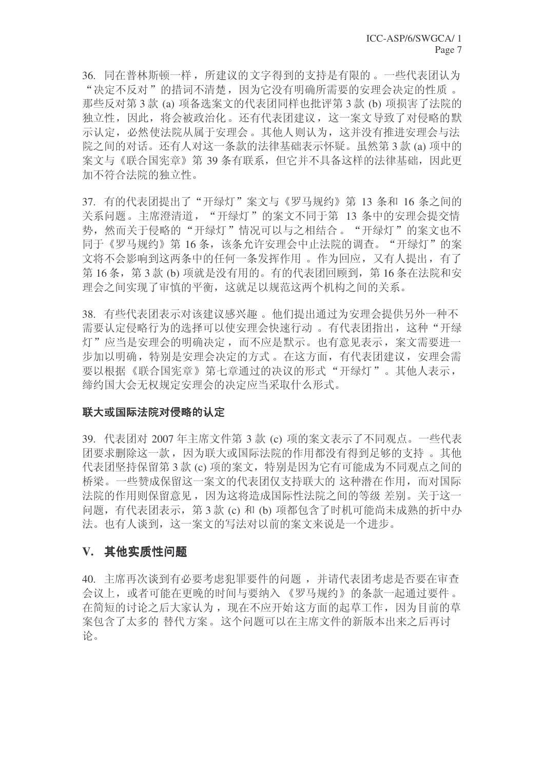36. 同在普林斯顿一样, 所建议的文字得到的支持是有限的。一些代表团认为 "决定不反对"的措词不清楚,因为它没有明确所需要的安理会决定的性质。 那些反对第3款 (a) 项备选案文的代表团同样也批评第3款 (b) 项损害了法院的 独立性, 因此, 将会被政治化。还有代表团建议, 这一案文导致了对侵略的默 示认定, 必然使法院从属于安理会。其他人则认为, 这并没有推进安理会与法 院之间的对话。还有人对这一条款的法律基础表示怀疑。虽然第3款(a) 项中的 案文与《联合国宪章》第39条有联系,但它并不具备这样的法律基础,因此更 加不符合法院的独立性。

37. 有的代表团提出了"开绿灯"案文与《罗马规约》第 13 条和 16 条之间的 关系问题。主席澄清道, "开绿灯"的案文不同于第 13 条中的安理会提交情 势, 然而关于侵略的"开绿灯"情况可以与之相结合。"开绿灯"的案文也不 同于《罗马规约》第16条,该条允许安理会中止法院的调查。"开绿灯"的案 文将不会影响到这两条中的任何一条发挥作用。作为回应,又有人提出,有了 第16条, 第3款 (b) 项就是没有用的。有的代表团回顾到, 第16条在法院和安 理会之间实现了审慎的平衡, 这就足以规范这两个机构之间的关系。

38. 有些代表团表示对该建议感兴趣。他们提出通过为安理会提供另外一种不 需要认定侵略行为的选择可以使安理会快速行动。有代表团指出,这种"开绿 灯"应当是安理会的明确决定,而不应是默示。也有意见表示,案文需要进一 步加以明确, 特别是安理会决定的方式。在这方面, 有代表团建议, 安理会需 要以根据《联合国宪章》第七章通过的决议的形式"开绿灯"。其他人表示, 缔约国大会无权规定安理会的决定应当采取什么形式。

#### 联大或国际法院对侵略的认定

39. 代表团对 2007 年主席文件第 3 款 (c) 项的案文表示了不同观点。一些代表 团要求删除这一款, 因为联大或国际法院的作用都没有得到足够的支持 。其他 代表团坚持保留第3款 (c) 项的案文, 特别是因为它有可能成为不同观点之间的 桥梁。一些赞成保留这一案文的代表团仅支持联大的 这种潜在作用, 而对国际 法院的作用则保留意见,因为这将造成国际性法院之间的等级 差别。关于这一 问题, 有代表团表示, 第3款 (c) 和 (b) 项都包含了时机可能尚未成熟的折中办 法。也有人谈到, 这一案文的写法对以前的案文来说是一个进步。

## V. 其他实质性问题

40. 主席再次谈到有必要考虑犯罪要件的问题, 并请代表团考虑是否要在审查 会议上, 或者可能在更晚的时间与要纳入 《罗马规约》的条款一起通过要件。 在简短的讨论之后大家认为, 现在不应开始这方面的起草工作, 因为目前的草 案包含了太多的替代方案。这个问题可以在主席文件的新版本出来之后再讨 论。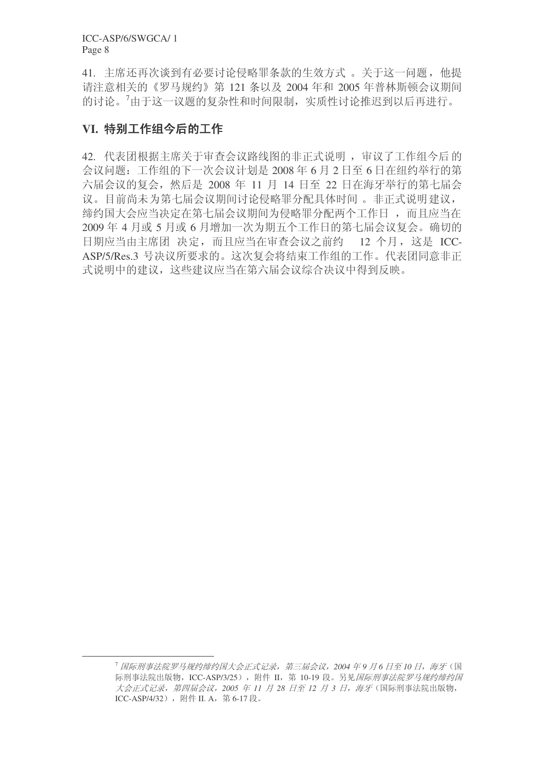ICC-ASP/6/SWGCA/ 1 Page 8

41. 主席还再次谈到有必要讨论侵略罪条款的生效方式。关于这一问题, 他提 请注意相关的《罗马规约》第 121 条以及 2004 年和 2005 年普林斯顿会议期间 的讨论。7由于这一议题的复杂性和时间限制,实质性讨论推迟到以后再进行。

# VI. 特别工作组今后的工作

42. 代表团根据主席关于审查会议路线图的非正式说明, 审议了工作组今后的 会议问题: 工作组的下一次会议计划是 2008 年 6 月 2 日至 6 日在纽约举行的第 六届会议的复会, 然后是 2008 年 11 月 14 日至 22 日在海牙举行的第七届会 议。目前尚未为第七届会议期间讨论侵略罪分配具体时间。非正式说明建议, 缔约国大会应当决定在第七届会议期间为侵略罪分配两个工作日 , 而且应当在 2009年4月或5月或6月增加一次为期五个工作日的第七届会议复会。确切的 日期应当由主席团决定,而且应当在审查会议之前约 12 个月,这是 ICC-ASP/5/Res.3 号决议所要求的。这次复会将结束工作组的工作。代表团同意非正 式说明中的建议,这些建议应当在第六届会议综合决议中得到反映。

<sup>&</sup>lt;sup>7</sup> 国际刑事法院罗马规约缔约国大会正式记录, 第三届会议, 2004 年9 月6 日至 10 日, 海牙(国 际刑事法院出版物, ICC-ASP/3/25), 附件 II, 第 10-19 段。另见*国际刑事法院罗马规约缔约国* 大会正式记录, 第四届会议, 2005 年 11 月 28 日至 12 月 3 日, 海牙(国际刑事法院出版物, ICC-ASP/4/32), 附件 II. A, 第 6-17 段。